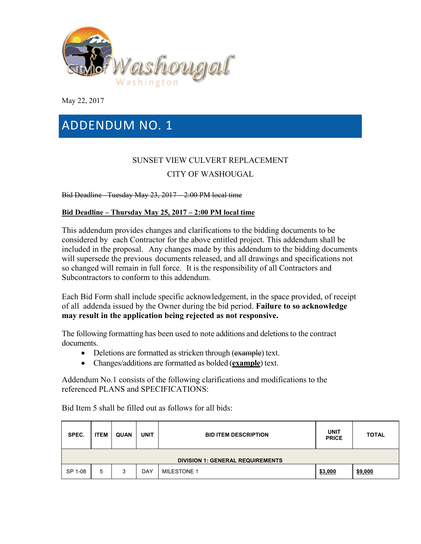

May 22, 2017

# ADDENDUM NO. 1

# SUNSET VIEW CULVERT REPLACEMENT CITY OF WASHOUGAL

Bid Deadline –Tuesday May 23, 2017 – 2:00 PM local time

## **Bid Deadline – Thursday May 25, 2017 – 2:00 PM local time**

This addendum provides changes and clarifications to the bidding documents to be considered by each Contractor for the above entitled project. This addendum shall be included in the proposal. Any changes made by this addendum to the bidding documents will supersede the previous documents released, and all drawings and specifications not so changed will remain in full force. It is the responsibility of all Contractors and Subcontractors to conform to this addendum.

Each Bid Form shall include specific acknowledgement, in the space provided, of receipt of all addenda issued by the Owner during the bid period. **Failure to so acknowledge may result in the application being rejected as not responsive.**

The following formatting has been used to note additions and deletions to the contract documents.

- Deletions are formatted as stricken through (example) text.
- Changes/additions are formatted as bolded (**example**) text.

Addendum No.1 consists of the following clarifications and modifications to the referenced PLANS and SPECIFICATIONS:

Bid Item 5 shall be filled out as follows for all bids:

| SPEC.                                   | <b>ITEM</b> | <b>QUAN</b> | <b>UNIT</b> | <b>BID ITEM DESCRIPTION</b> | <b>UNIT</b><br><b>PRICE</b> | <b>TOTAL</b>   |
|-----------------------------------------|-------------|-------------|-------------|-----------------------------|-----------------------------|----------------|
| <b>DIVISION 1: GENERAL REQUIREMENTS</b> |             |             |             |                             |                             |                |
| SP 1-08                                 | 5           | 3           | DAY         | <b>MILESTONE 1</b>          | \$3,000                     | <u>\$9,000</u> |